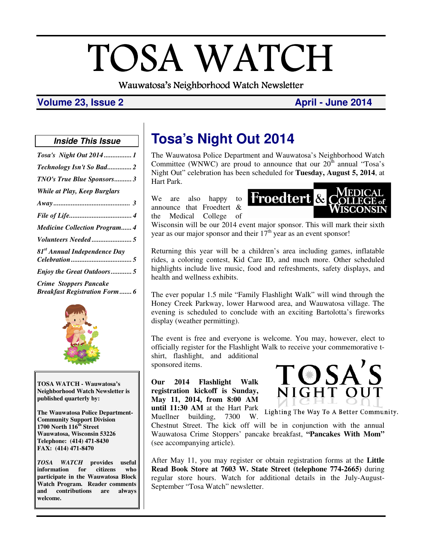# TOSA WATCH Wauwatosa's Neighborhood Watch Newsletter

## **Volume 23, Issue 2 April - June 2014 April - June 2014**

#### **Inside This Issue**

| Tosa's Night Out 20141                                                |
|-----------------------------------------------------------------------|
| Technology Isn't So Bad2                                              |
| TNO's True Blue Sponsors3                                             |
| <b>While at Play, Keep Burglars</b>                                   |
|                                                                       |
|                                                                       |
| <b>Medicine Collection Program 4</b>                                  |
|                                                                       |
| 81 <sup>st</sup> Annual Independence Day                              |
| <b>Enjoy the Great Outdoors5</b>                                      |
| <b>Crime Stoppers Pancake</b><br><b>Breakfast Registration Form 6</b> |



**TOSA WATCH - Wauwatosa's Neighborhood Watch Newsletter is published quarterly by:** 

**The Wauwatosa Police Department-Community Support Division 1700 North 116th Street Wauwatosa, Wisconsin 53226 Telephone: (414) 471-8430 FAX: (414) 471-8470** 

*TOSA WATCH* **provides useful information for citizens who participate in the Wauwatosa Block Watch Program. Reader comments and contributions are always welcome.** 

# **Tosa's Night Out 2014**

The Wauwatosa Police Department and Wauwatosa's Neighborhood Watch Committee (WNWC) are proud to announce that our  $20<sup>th</sup>$  annual "Tosa's Night Out" celebration has been scheduled for **Tuesday, August 5, 2014**, at Hart Park.

We are also happy to announce that Froedtert & the Medical College of



Wisconsin will be our 2014 event major sponsor. This will mark their sixth year as our major sponsor and their  $17<sup>th</sup>$  year as an event sponsor!

Returning this year will be a children's area including games, inflatable rides, a coloring contest, Kid Care ID, and much more. Other scheduled highlights include live music, food and refreshments, safety displays, and health and wellness exhibits.

The ever popular 1.5 mile "Family Flashlight Walk" will wind through the Honey Creek Parkway, lower Harwood area, and Wauwatosa village. The evening is scheduled to conclude with an exciting Bartolotta's fireworks display (weather permitting).

The event is free and everyone is welcome. You may, however, elect to officially register for the Flashlight Walk to receive your commemorative tshirt, flashlight, and additional

sponsored items.

**Our 2014 Flashlight Walk registration kickoff is Sunday, May 11, 2014, from 8:00 AM** 



**until 11:30 AM** at the Hart Park Lighting The Way To A Better Community. Muellner building, 7300 W.

Chestnut Street. The kick off will be in conjunction with the annual Wauwatosa Crime Stoppers' pancake breakfast, **"Pancakes With Mom"** (see accompanying article).

After May 11, you may register or obtain registration forms at the **Little Read Book Store at 7603 W. State Street (telephone 774-2665)** during regular store hours. Watch for additional details in the July-August-September "Tosa Watch" newsletter.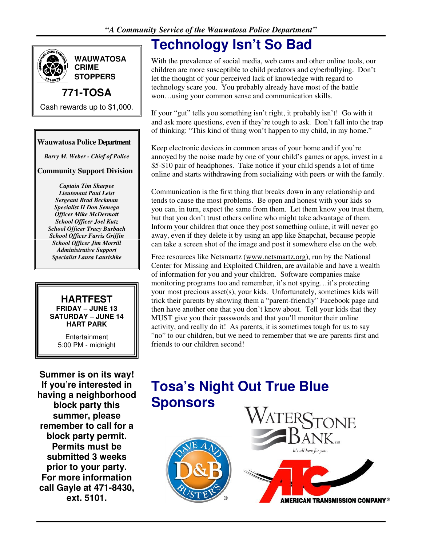

**WAUWATOSA CRIME STOPPERS**

## **771-TOSA**

Cash rewards up to \$1,000.

## **Wauwatosa Police Department**

*Barry M. Weber - Chief of Police* 

## **Community Support Division**

*Captain Tim Sharpee Lieutenant Paul Leist Sergeant Brad Beckman Specialist II Don Semega Officer Mike McDermott School Officer Joel Kutz School Officer Tracy Burbach School Officer Farris Griffin School Officer Jim Morrill Administrative Support Specialist Laura Laurishke* 

#### **HARTFEST FRIDAY – JUNE 13 SATURDAY – JUNE 14 HART PARK**

**Entertainment** 5:00 PM - midnight

**Summer is on its way! If you're interested in having a neighborhood block party this summer, please remember to call for a block party permit. Permits must be submitted 3 weeks prior to your party. For more information call Gayle at 471-8430, ext. 5101.** 

# **Technology Isn't So Bad**

With the prevalence of social media, web cams and other online tools, our children are more susceptible to child predators and cyberbullying. Don't let the thought of your perceived lack of knowledge with regard to technology scare you. You probably already have most of the battle won…using your common sense and communication skills.

If your "gut" tells you something isn't right, it probably isn't! Go with it and ask more questions, even if they're tough to ask. Don't fall into the trap of thinking: "This kind of thing won't happen to my child, in my home."

Keep electronic devices in common areas of your home and if you're annoyed by the noise made by one of your child's games or apps, invest in a \$5-\$10 pair of headphones. Take notice if your child spends a lot of time online and starts withdrawing from socializing with peers or with the family.

Communication is the first thing that breaks down in any relationship and tends to cause the most problems. Be open and honest with your kids so you can, in turn, expect the same from them. Let them know you trust them, but that you don't trust others online who might take advantage of them. Inform your children that once they post something online, it will never go away, even if they delete it by using an app like Snapchat, because people can take a screen shot of the image and post it somewhere else on the web.

Free resources like Netsmartz (www.netsmartz.org), run by the National Center for Missing and Exploited Children, are available and have a wealth of information for you and your children. Software companies make monitoring programs too and remember, it's not spying…it's protecting your most precious asset(s), your kids. Unfortunately, sometimes kids will trick their parents by showing them a "parent-friendly" Facebook page and then have another one that you don't know about. Tell your kids that they MUST give you their passwords and that you'll monitor their online activity, and really do it! As parents, it is sometimes tough for us to say "no" to our children, but we need to remember that we are parents first and friends to our children second!

# **Tosa's Night Out True Blue Sponsors**



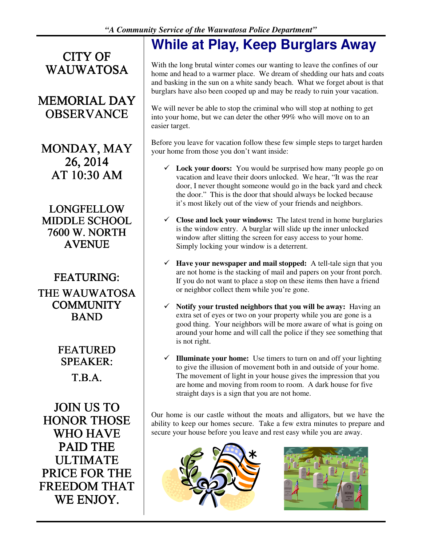**CITY OF** WAUWATOSA

## **MEMORIAL DAY OBSERVANCE**

MONDAY, MAY 26, 2014 AT  $10:30$  AM

LONGFELLOW MIDDLE SCHOOL 7600 W. NORTH AVENUE

FEATURING: FEATURING: THE WAUWATOSA **COMMUNITY** BAND

> FEATURED SPEAKER: T.B.A.

JOIN US TO HONOR THOSE WHO HAVE **PAID THE** ULTIMATE PRICE FOR THE FREEDOM THAT WE ENJOY.

# **While at Play, Keep Burglars Away**

With the long brutal winter comes our wanting to leave the confines of our home and head to a warmer place. We dream of shedding our hats and coats and basking in the sun on a white sandy beach. What we forget about is that burglars have also been cooped up and may be ready to ruin your vacation.

We will never be able to stop the criminal who will stop at nothing to get into your home, but we can deter the other 99% who will move on to an easier target.

Before you leave for vacation follow these few simple steps to target harden your home from those you don't want inside:

- $\checkmark$  Lock your doors: You would be surprised how many people go on vacation and leave their doors unlocked. We hear, "It was the rear door, I never thought someone would go in the back yard and check the door." This is the door that should always be locked because it's most likely out of the view of your friends and neighbors.
- $\checkmark$  Close and lock your windows: The latest trend in home burglaries is the window entry. A burglar will slide up the inner unlocked window after slitting the screen for easy access to your home. Simply locking your window is a deterrent.
- $\checkmark$  **Have your newspaper and mail stopped:** A tell-tale sign that you are not home is the stacking of mail and papers on your front porch. If you do not want to place a stop on these items then have a friend or neighbor collect them while you're gone.
- ! **Notify your trusted neighbors that you will be away:** Having an extra set of eyes or two on your property while you are gone is a good thing. Your neighbors will be more aware of what is going on around your home and will call the police if they see something that is not right.
- $\checkmark$  **Illuminate your home:** Use timers to turn on and off your lighting to give the illusion of movement both in and outside of your home. The movement of light in your house gives the impression that you are home and moving from room to room. A dark house for five straight days is a sign that you are not home.

Our home is our castle without the moats and alligators, but we have the ability to keep our homes secure. Take a few extra minutes to prepare and secure your house before you leave and rest easy while you are away.



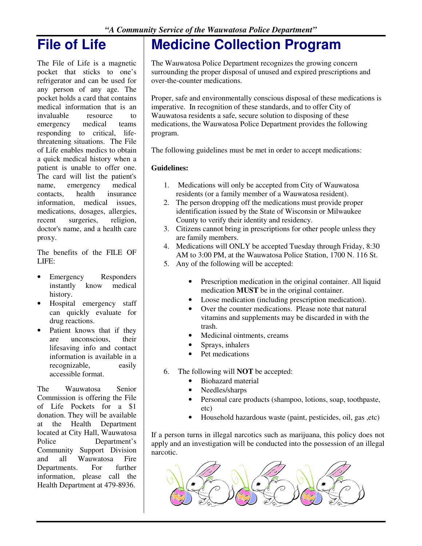# **File of Life**

The File of Life is a magnetic pocket that sticks to one's refrigerator and can be used for any person of any age. The pocket holds a card that contains medical information that is an invaluable resource to emergency medical teams responding to critical, lifethreatening situations. The File of Life enables medics to obtain a quick medical history when a patient is unable to offer one. The card will list the patient's name, emergency medical contacts, health insurance information, medical issues, medications, dosages, allergies, recent surgeries, religion, doctor's name, and a health care proxy.

The benefits of the FILE OF LIFE:

- Emergency Responders instantly know medical history.
- Hospital emergency staff can quickly evaluate for drug reactions.
- Patient knows that if they are unconscious, their lifesaving info and contact information is available in a recognizable, easily accessible format.

The Wauwatosa Senior Commission is offering the File of Life Pockets for a \$1 donation. They will be available at the Health Department located at City Hall, Wauwatosa Police Department's Community Support Division and all Wauwatosa Fire Departments. For further information, please call the Health Department at 479-8936.

# **Medicine Collection Program**

The Wauwatosa Police Department recognizes the growing concern surrounding the proper disposal of unused and expired prescriptions and over-the-counter medications.

Proper, safe and environmentally conscious disposal of these medications is imperative. In recognition of these standards, and to offer City of Wauwatosa residents a safe, secure solution to disposing of these medications, the Wauwatosa Police Department provides the following program.

The following guidelines must be met in order to accept medications:

#### **Guidelines:**

- 1. Medications will only be accepted from City of Wauwatosa residents (or a family member of a Wauwatosa resident).
- 2. The person dropping off the medications must provide proper identification issued by the State of Wisconsin or Milwaukee County to verify their identity and residency.
- 3. Citizens cannot bring in prescriptions for other people unless they are family members.
- 4. Medications will ONLY be accepted Tuesday through Friday, 8:30 AM to 3:00 PM, at the Wauwatosa Police Station, 1700 N. 116 St.
- 5. Any of the following will be accepted:
	- Prescription medication in the original container. All liquid medication **MUST** be in the original container.
	- Loose medication (including prescription medication).
	- Over the counter medications. Please note that natural vitamins and supplements may be discarded in with the trash.
	- Medicinal ointments, creams
	- Sprays, inhalers
	- Pet medications
- 6. The following will **NOT** be accepted:
	- Biohazard material
	- Needles/sharps
	- Personal care products (shampoo, lotions, soap, toothpaste, etc)
	- Household hazardous waste (paint, pesticides, oil, gas ,etc)

If a person turns in illegal narcotics such as marijuana, this policy does not apply and an investigation will be conducted into the possession of an illegal narcotic.

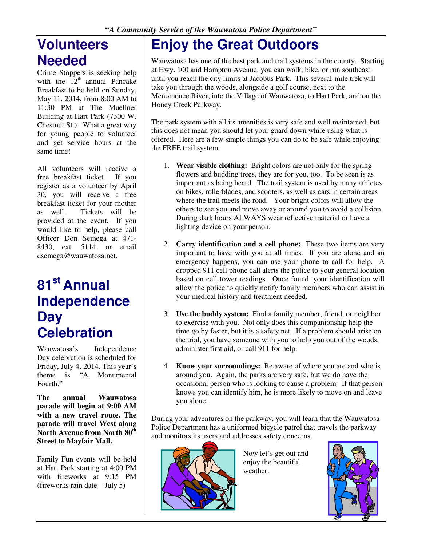# **Volunteers Needed**

Crime Stoppers is seeking help with the  $12<sup>th</sup>$  annual Pancake Breakfast to be held on Sunday, May 11, 2014, from 8:00 AM to 11:30 PM at The Muellner Building at Hart Park (7300 W. Chestnut St.). What a great way for young people to volunteer and get service hours at the same time!

All volunteers will receive a free breakfast ticket. If you register as a volunteer by April 30, you will receive a free breakfast ticket for your mother as well. Tickets will be provided at the event. If you would like to help, please call Officer Don Semega at 471- 8430, ext. 5114, or email dsemega@wauwatosa.net.

# **81st Annual Independence Day Celebration**

Wauwatosa's Independence Day celebration is scheduled for Friday, July 4, 2014. This year's theme is "A Monumental Fourth."

**The annual Wauwatosa parade will begin at 9:00 AM with a new travel route. The parade will travel West along**  North Avenue from North  $80<sup>th</sup>$ **Street to Mayfair Mall.** 

Family Fun events will be held at Hart Park starting at 4:00 PM with fireworks at 9:15 PM (fireworks rain date – July 5)

# **Enjoy the Great Outdoors**

Wauwatosa has one of the best park and trail systems in the county. Starting at Hwy. 100 and Hampton Avenue, you can walk, bike, or run southeast until you reach the city limits at Jacobus Park. This several-mile trek will take you through the woods, alongside a golf course, next to the Menomonee River, into the Village of Wauwatosa, to Hart Park, and on the Honey Creek Parkway.

The park system with all its amenities is very safe and well maintained, but this does not mean you should let your guard down while using what is offered. Here are a few simple things you can do to be safe while enjoying the FREE trail system:

- 1. **Wear visible clothing:** Bright colors are not only for the spring flowers and budding trees, they are for you, too. To be seen is as important as being heard. The trail system is used by many athletes on bikes, rollerblades, and scooters, as well as cars in certain areas where the trail meets the road. Your bright colors will allow the others to see you and move away or around you to avoid a collision. During dark hours ALWAYS wear reflective material or have a lighting device on your person.
- 2. **Carry identification and a cell phone:** These two items are very important to have with you at all times. If you are alone and an emergency happens, you can use your phone to call for help. A dropped 911 cell phone call alerts the police to your general location based on cell tower readings. Once found, your identification will allow the police to quickly notify family members who can assist in your medical history and treatment needed.
- 3. **Use the buddy system:** Find a family member, friend, or neighbor to exercise with you. Not only does this companionship help the time go by faster, but it is a safety net. If a problem should arise on the trial, you have someone with you to help you out of the woods, administer first aid, or call 911 for help.
- 4. **Know your surroundings:** Be aware of where you are and who is around you. Again, the parks are very safe, but we do have the occasional person who is looking to cause a problem. If that person knows you can identify him, he is more likely to move on and leave you alone.

During your adventures on the parkway, you will learn that the Wauwatosa Police Department has a uniformed bicycle patrol that travels the parkway and monitors its users and addresses safety concerns.



Now let's get out and enjoy the beautiful weather.